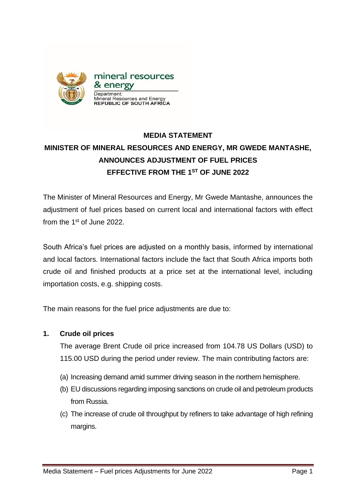

# **MEDIA STATEMENT MINISTER OF MINERAL RESOURCES AND ENERGY, MR GWEDE MANTASHE, ANNOUNCES ADJUSTMENT OF FUEL PRICES EFFECTIVE FROM THE 1 ST OF JUNE 2022**

The Minister of Mineral Resources and Energy, Mr Gwede Mantashe, announces the adjustment of fuel prices based on current local and international factors with effect from the 1<sup>st</sup> of June 2022.

South Africa's fuel prices are adjusted on a monthly basis, informed by international and local factors. International factors include the fact that South Africa imports both crude oil and finished products at a price set at the international level, including importation costs, e.g. shipping costs.

The main reasons for the fuel price adjustments are due to:

#### **1. Crude oil prices**

The average Brent Crude oil price increased from 104.78 US Dollars (USD) to 115.00 USD during the period under review. The main contributing factors are:

- (a) Increasing demand amid summer driving season in the northern hemisphere.
- (b) EU discussions regarding imposing sanctions on crude oil and petroleum products from Russia.
- (c) The increase of crude oil throughput by refiners to take advantage of high refining margins.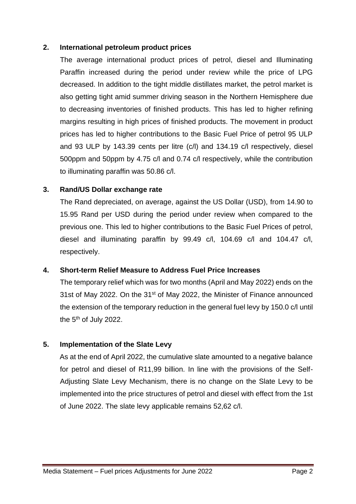#### **2. International petroleum product prices**

The average international product prices of petrol, diesel and Illuminating Paraffin increased during the period under review while the price of LPG decreased. In addition to the tight middle distillates market, the petrol market is also getting tight amid summer driving season in the Northern Hemisphere due to decreasing inventories of finished products. This has led to higher refining margins resulting in high prices of finished products. The movement in product prices has led to higher contributions to the Basic Fuel Price of petrol 95 ULP and 93 ULP by 143.39 cents per litre (c/l) and 134.19 c/l respectively, diesel 500ppm and 50ppm by 4.75 c/l and 0.74 c/l respectively, while the contribution to illuminating paraffin was 50.86 c/l.

#### **3. Rand/US Dollar exchange rate**

The Rand depreciated, on average, against the US Dollar (USD), from 14.90 to 15.95 Rand per USD during the period under review when compared to the previous one. This led to higher contributions to the Basic Fuel Prices of petrol, diesel and illuminating paraffin by 99.49 c/l, 104.69 c/l and 104.47 c/l, respectively.

#### **4. Short-term Relief Measure to Address Fuel Price Increases**

The temporary relief which was for two months (April and May 2022) ends on the 31st of May 2022. On the 31<sup>st</sup> of May 2022, the Minister of Finance announced the extension of the temporary reduction in the general fuel levy by 150.0 c/l until the 5<sup>th</sup> of July 2022.

### **5. Implementation of the Slate Levy**

 As at the end of April 2022, the cumulative slate amounted to a negative balance for petrol and diesel of R11,99 billion. In line with the provisions of the Self-Adjusting Slate Levy Mechanism, there is no change on the Slate Levy to be implemented into the price structures of petrol and diesel with effect from the 1st of June 2022. The slate levy applicable remains 52,62 c/l.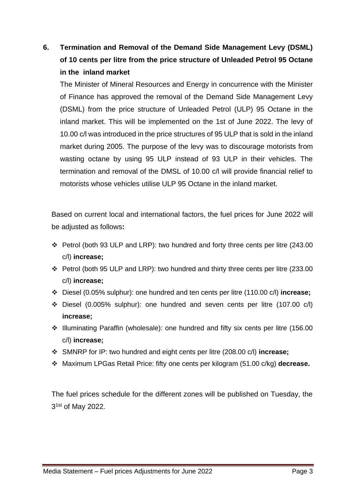## **6. Termination and Removal of the Demand Side Management Levy (DSML) of 10 cents per litre from the price structure of Unleaded Petrol 95 Octane in the inland market**

The Minister of Mineral Resources and Energy in concurrence with the Minister of Finance has approved the removal of the Demand Side Management Levy (DSML) from the price structure of Unleaded Petrol (ULP) 95 Octane in the inland market. This will be implemented on the 1st of June 2022. The levy of 10.00 c/l was introduced in the price structures of 95 ULP that is sold in the inland market during 2005. The purpose of the levy was to discourage motorists from wasting octane by using 95 ULP instead of 93 ULP in their vehicles. The termination and removal of the DMSL of 10.00 c/l will provide financial relief to motorists whose vehicles utilise ULP 95 Octane in the inland market.

Based on current local and international factors, the fuel prices for June 2022 will be adjusted as follows**:**

- ❖ Petrol (both 93 ULP and LRP): two hundred and forty three cents per litre (243.00 c/l) **increase;**
- ❖ Petrol (both 95 ULP and LRP): two hundred and thirty three cents per litre (233.00 c/l) **increase;**
- ❖ Diesel (0.05% sulphur): one hundred and ten cents per litre (110.00 c/l) **increase;**
- ❖ Diesel (0.005% sulphur): one hundred and seven cents per litre (107.00 c/l) **increase;**
- ❖ Illuminating Paraffin (wholesale): one hundred and fifty six cents per litre (156.00 c/l) **increase;**
- ❖ SMNRP for IP: two hundred and eight cents per litre (208.00 c/l) **increase;**
- ❖ Maximum LPGas Retail Price: fifty one cents per kilogram (51.00 c/kg) **decrease.**

The fuel prices schedule for the different zones will be published on Tuesday, the 3<sup>1st</sup> of May 2022.